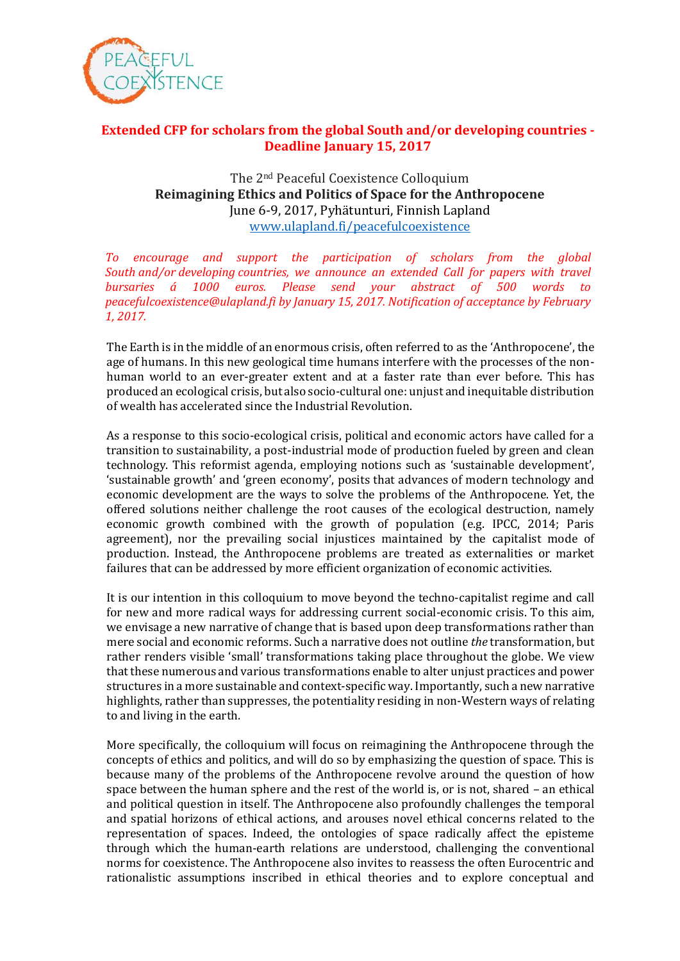

## **Extended CFP for scholars from the global South and/or developing countries - Deadline January 15, 2017**

## The 2nd Peaceful Coexistence Colloquium **Reimagining Ethics and Politics of Space for the Anthropocene** June 6-9, 2017, Pyhätunturi, Finnish Lapland [www.ulapland.fi/peacefulcoexistence](http://www.ulapland.fi/peacefulcoexistence)

*To encourage and support the participation of scholars from the global South and/or developing countries, we announce an extended Call for papers with travel bursaries á 1000 euros. Please send your abstract of 500 words to peacefulcoexistence@ulapland.fi by January 15, 2017. Notification of acceptance by February 1, 2017.*

The Earth is in the middle of an enormous crisis, often referred to as the 'Anthropocene', the age of humans. In this new geological time humans interfere with the processes of the nonhuman world to an ever-greater extent and at a faster rate than ever before. This has produced an ecological crisis, but also socio-cultural one: unjust and inequitable distribution of wealth has accelerated since the Industrial Revolution.

As a response to this socio-ecological crisis, political and economic actors have called for a transition to sustainability, a post-industrial mode of production fueled by green and clean technology. This reformist agenda, employing notions such as 'sustainable development', 'sustainable growth' and 'green economy', posits that advances of modern technology and economic development are the ways to solve the problems of the Anthropocene. Yet, the offered solutions neither challenge the root causes of the ecological destruction, namely economic growth combined with the growth of population (e.g. IPCC, 2014; Paris agreement), nor the prevailing social injustices maintained by the capitalist mode of production. Instead, the Anthropocene problems are treated as externalities or market failures that can be addressed by more efficient organization of economic activities.

It is our intention in this colloquium to move beyond the techno-capitalist regime and call for new and more radical ways for addressing current social-economic crisis. To this aim, we envisage a new narrative of change that is based upon deep transformations rather than mere social and economic reforms. Such a narrative does not outline *the* transformation, but rather renders visible 'small' transformations taking place throughout the globe. We view that these numerous and various transformations enable to alter unjust practices and power structures in a more sustainable and context-specific way. Importantly, such a new narrative highlights, rather than suppresses, the potentiality residing in non-Western ways of relating to and living in the earth.

More specifically, the colloquium will focus on reimagining the Anthropocene through the concepts of ethics and politics, and will do so by emphasizing the question of space. This is because many of the problems of the Anthropocene revolve around the question of how space between the human sphere and the rest of the world is, or is not, shared – an ethical and political question in itself. The Anthropocene also profoundly challenges the temporal and spatial horizons of ethical actions, and arouses novel ethical concerns related to the representation of spaces. Indeed, the ontologies of space radically affect the episteme through which the human-earth relations are understood, challenging the conventional norms for coexistence. The Anthropocene also invites to reassess the often Eurocentric and rationalistic assumptions inscribed in ethical theories and to explore conceptual and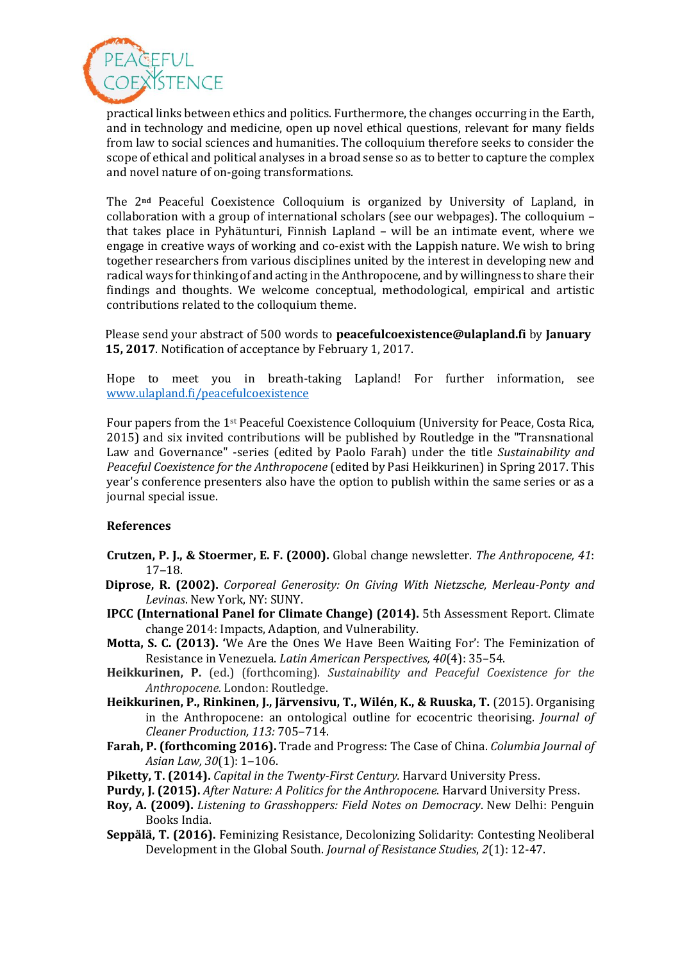

practical links between ethics and politics. Furthermore, the changes occurring in the Earth, and in technology and medicine, open up novel ethical questions, relevant for many fields from law to social sciences and humanities. The colloquium therefore seeks to consider the scope of ethical and political analyses in a broad sense so as to better to capture the complex and novel nature of on-going transformations.

The 2**nd** Peaceful Coexistence Colloquium is organized by University of Lapland, in collaboration with a group of international scholars (see our webpages). The colloquium – that takes place in Pyhätunturi, Finnish Lapland – will be an intimate event, where we engage in creative ways of working and co-exist with the Lappish nature. We wish to bring together researchers from various disciplines united by the interest in developing new and radical ways for thinking of and acting in the Anthropocene, and by willingness to share their findings and thoughts. We welcome conceptual, methodological, empirical and artistic contributions related to the colloquium theme.

Please send your abstract of 500 words to **peacefulcoexistence@ulapland.fi** by **January 15, 2017**. Notification of acceptance by February 1, 2017.

Hope to meet you in breath-taking Lapland! For further information, see [www.ulapland.fi/peacefulcoexistence](http://www.ulapland.fi/peacefulcoexistence)

Four papers from the 1st Peaceful Coexistence Colloquium (University for Peace, Costa Rica, 2015) and six invited contributions will be published by Routledge in the "Transnational Law and Governance" -series (edited by Paolo Farah) under the title *Sustainability and Peaceful Coexistence for the Anthropocene* (edited by Pasi Heikkurinen) in Spring 2017. This year's conference presenters also have the option to publish within the same series or as a journal special issue.

## **References**

- **Crutzen, P. J., & Stoermer, E. F. (2000).** Global change newsletter. *The Anthropocene, 41*:  $17 - 18.$
- **Diprose, R. (2002).** *Corporeal Generosity: On Giving With Nietzsche, Merleau-Ponty and Levinas*. New York, NY: SUNY.
- **IPCC (International Panel for Climate Change) (2014).** 5th Assessment Report. Climate change 2014: Impacts, Adaption, and Vulnerability.
- **Motta, S. C. (2013). '**We Are the Ones We Have Been Waiting For': The Feminization of Resistance in Venezuela. *Latin American Perspectives, 40*(4): 35–54.
- **Heikkurinen, P.** (ed.) (forthcoming). *Sustainability and Peaceful Coexistence for the Anthropocene.* London: Routledge.
- **Heikkurinen, P., Rinkinen, J., Järvensivu, T., Wilén, K., & Ruuska, T.** (2015). Organising in the Anthropocene: an ontological outline for ecocentric theorising. *Journal of Cleaner Production, 113:* 705‒714.
- **Farah, P. (forthcoming 2016).** Trade and Progress: The Case of China. *Columbia Journal of Asian Law, 30*(1): 1‒106.
- **Piketty, T. (2014).** *Capital in the Twenty-First Century.* Harvard University Press.
- **Purdy, J. (2015).** *After Nature: A Politics for the Anthropocene*. Harvard University Press.
- **Roy, A. (2009).** *Listening to Grasshoppers: Field Notes on Democracy*. New Delhi: Penguin Books India.
- **Seppälä, T. (2016).** Feminizing Resistance, Decolonizing Solidarity: Contesting Neoliberal Development in the Global South. *Journal of Resistance Studies*, *2*(1): 12-47.